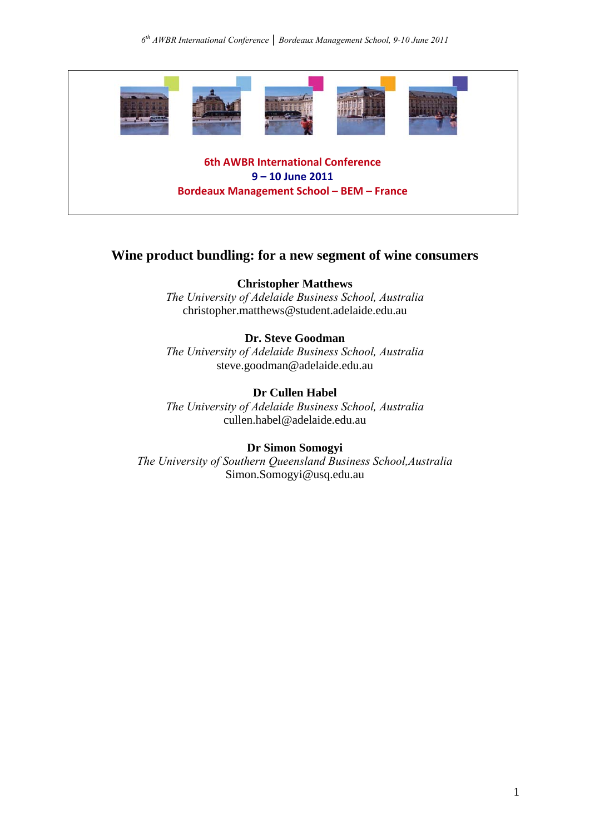

# **Wine product bundling: for a new segment of wine consumers**

**Christopher Matthews** 

*The University of Adelaide Business School, Australia*  christopher.matthews@student.adelaide.edu.au

### **Dr. Steve Goodman**

*The University of Adelaide Business School, Australia*  steve.goodman@adelaide.edu.au

### **Dr Cullen Habel**

*The University of Adelaide Business School, Australia*  [cullen.habel@adelaide.edu.au](mailto:cullen.habel@adelaide.edu.au) 

### **Dr Simon Somogyi**

*The University of Southern Queensland Business School,Australia*  Simon.Somogyi@usq.edu.au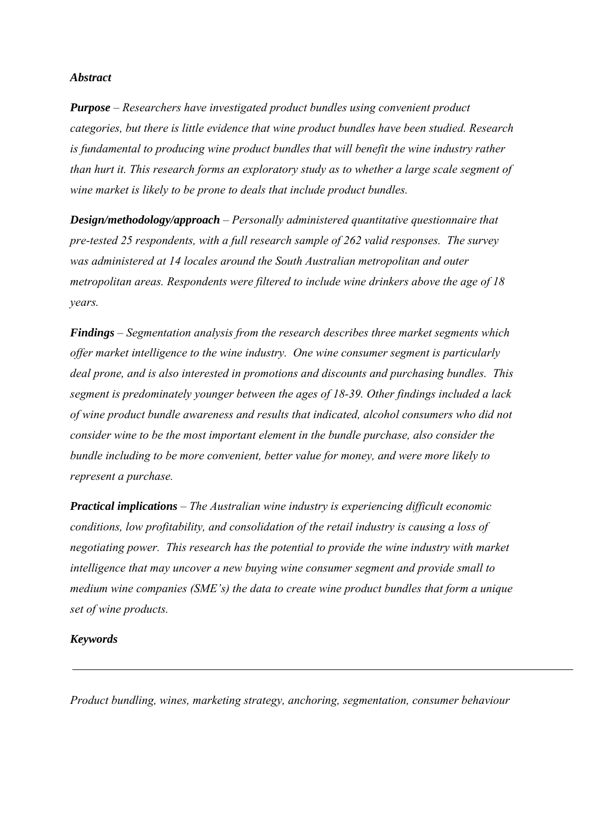### *Abstract*

*Purpose – Researchers have investigated product bundles using convenient product categories, but there is little evidence that wine product bundles have been studied. Research is fundamental to producing wine product bundles that will benefit the wine industry rather than hurt it. This research forms an exploratory study as to whether a large scale segment of wine market is likely to be prone to deals that include product bundles.* 

*Design/methodology/approach – Personally administered quantitative questionnaire that pre-tested 25 respondents, with a full research sample of 262 valid responses. The survey was administered at 14 locales around the South Australian metropolitan and outer metropolitan areas. Respondents were filtered to include wine drinkers above the age of 18 years.* 

*Findings – Segmentation analysis from the research describes three market segments which offer market intelligence to the wine industry. One wine consumer segment is particularly deal prone, and is also interested in promotions and discounts and purchasing bundles. This segment is predominately younger between the ages of 18-39. Other findings included a lack of wine product bundle awareness and results that indicated, alcohol consumers who did not consider wine to be the most important element in the bundle purchase, also consider the bundle including to be more convenient, better value for money, and were more likely to represent a purchase.* 

*Practical implications – The Australian wine industry is experiencing difficult economic conditions, low profitability, and consolidation of the retail industry is causing a loss of negotiating power. This research has the potential to provide the wine industry with market intelligence that may uncover a new buying wine consumer segment and provide small to medium wine companies (SME's) the data to create wine product bundles that form a unique set of wine products.* 

#### *Keywords*

*Product bundling, wines, marketing strategy, anchoring, segmentation, consumer behaviour*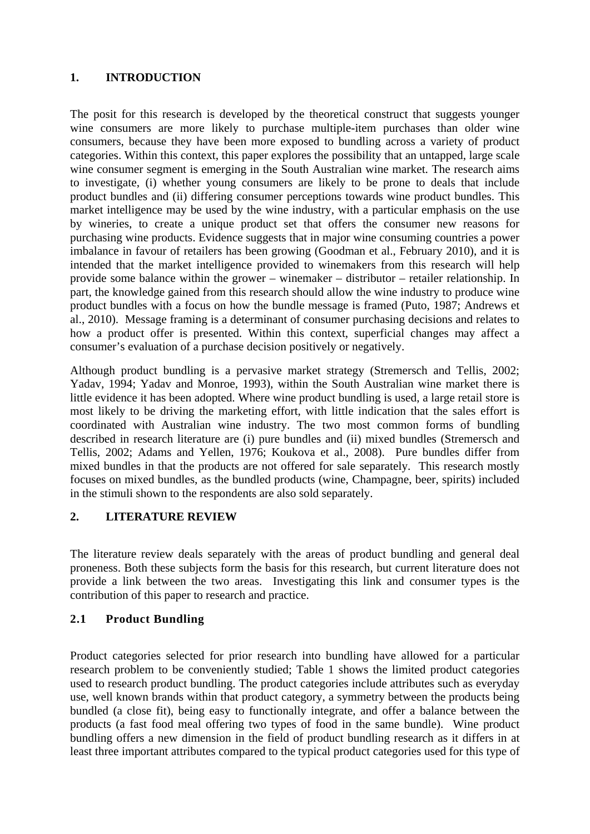## **1. INTRODUCTION**

The posit for this research is developed by the theoretical construct that suggests younger wine consumers are more likely to purchase multiple-item purchases than older wine consumers, because they have been more exposed to bundling across a variety of product categories. Within this context, this paper explores the possibility that an untapped, large scale wine consumer segment is emerging in the South Australian wine market. The research aims to investigate, (i) whether young consumers are likely to be prone to deals that include product bundles and (ii) differing consumer perceptions towards wine product bundles. This market intelligence may be used by the wine industry, with a particular emphasis on the use by wineries, to create a unique product set that offers the consumer new reasons for purchasing wine products. Evidence suggests that in major wine consuming countries a power imbalance in favour of retailers has been growing ([Goodman et al., February 2010](#page-7-0)), and it is intended that the market intelligence provided to winemakers from this research will help provide some balance within the grower – winemaker – distributor – retailer relationship. In part, the knowledge gained from this research should allow the wine industry to produce wine product bundles with a focus on how the bundle message is framed ([Puto, 1987;](#page-8-0) [Andrews et](#page-7-0)  [al., 2010\)](#page-7-0). Message framing is a determinant of consumer purchasing decisions and relates to how a product offer is presented. Within this context, superficial changes may affect a consumer's evaluation of a purchase decision positively or negatively.

Although product bundling is a pervasive market strategy ([Stremersch and Tellis, 2002](#page-8-0); [Yadav, 1994;](#page-8-0) [Yadav and Monroe, 1993\)](#page-8-0), within the South Australian wine market there is little evidence it has been adopted. Where wine product bundling is used, a large retail store is most likely to be driving the marketing effort, with little indication that the sales effort is coordinated with Australian wine industry. The two most common forms of bundling described in research literature are (i) pure bundles and (ii) mixed bundles ([Stremersch and](#page-8-0)  [Tellis, 2002;](#page-8-0) [Adams and Yellen, 1976;](#page-7-0) [Koukova et al., 2008](#page-8-0)). Pure bundles differ from mixed bundles in that the products are not offered for sale separately. This research mostly focuses on mixed bundles, as the bundled products (wine, Champagne, beer, spirits) included in the stimuli shown to the respondents are also sold separately.

## **2. LITERATURE REVIEW**

The literature review deals separately with the areas of product bundling and general deal proneness. Both these subjects form the basis for this research, but current literature does not provide a link between the two areas. Investigating this link and consumer types is the contribution of this paper to research and practice.

## **2.1 Product Bundling**

Product categories selected for prior research into bundling have allowed for a particular research problem to be conveniently studied; [Table 1](#page-3-0) shows the limited product categories used to research product bundling. The product categories include attributes such as everyday use, well known brands within that product category, a symmetry between the products being bundled (a close fit), being easy to functionally integrate, and offer a balance between the products (a fast food meal offering two types of food in the same bundle). Wine product bundling offers a new dimension in the field of product bundling research as it differs in at least three important attributes compared to the typical product categories used for this type of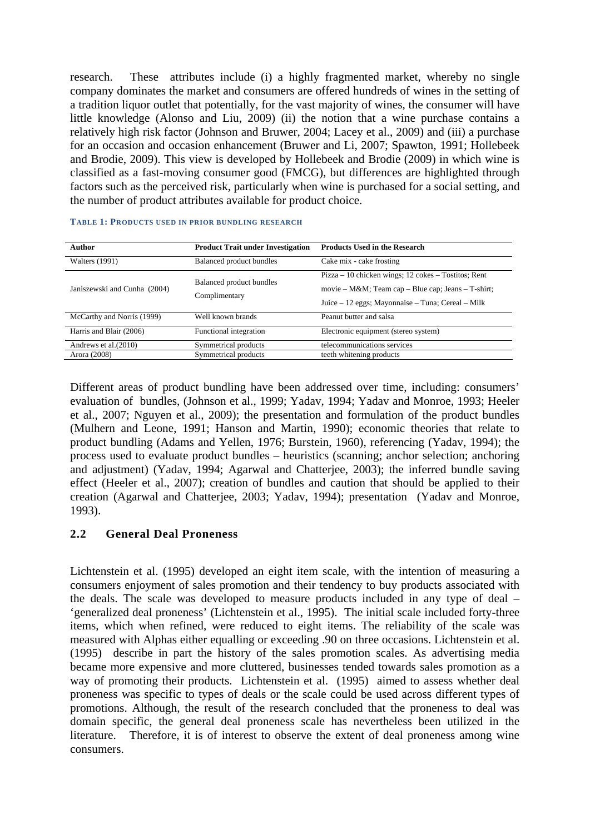research. These attributes include (i) a highly fragmented market, whereby no single company dominates the market and consumers are offered hundreds of wines in the setting of a tradition liquor outlet that potentially, for the vast majority of wines, the consumer will have little knowledge [\(Alonso and Liu, 2009](#page-7-0)) (ii) the notion that a wine purchase contains a relatively high risk factor ([Johnson and Bruwer, 2004](#page-8-0); [Lacey et al., 2009\)](#page-8-0) and (iii) a purchase for an occasion and occasion enhancement ([Bruwer and Li, 2007;](#page-7-0) [Spawton, 1991](#page-8-0); [Hollebeek](#page-7-0)  [and Brodie, 2009](#page-7-0)). This view is developed by Hollebeek and Brodie [\(2009\)](#page-7-0) in which wine is classified as a fast-moving consumer good (FMCG), but differences are highlighted through factors such as the perceived risk, particularly when wine is purchased for a social setting, and the number of product attributes available for product choice.

<span id="page-3-0"></span>

| Author                       | <b>Product Trait under Investigation</b>  | <b>Products Used in the Research</b>                                                                                                                          |
|------------------------------|-------------------------------------------|---------------------------------------------------------------------------------------------------------------------------------------------------------------|
| <b>Walters</b> (1991)        | <b>Balanced product bundles</b>           | Cake mix - cake frosting                                                                                                                                      |
| Janiszewski and Cunha (2004) | Balanced product bundles<br>Complimentary | Pizza – 10 chicken wings; 12 cokes – Tostitos; Rent<br>movie – M&M Team cap – Blue cap; Jeans – T-shirt;<br>Juice – 12 eggs; Mayonnaise – Tuna; Cereal – Milk |
| McCarthy and Norris (1999)   | Well known brands                         | Peanut butter and salsa                                                                                                                                       |
| Harris and Blair (2006)      | Functional integration                    | Electronic equipment (stereo system)                                                                                                                          |
| Andrews et al. (2010)        | Symmetrical products                      | telecommunications services                                                                                                                                   |
| Arora (2008)                 | Symmetrical products                      | teeth whitening products                                                                                                                                      |

#### **TABLE 1: PRODUCTS USED IN PRIOR BUNDLING RESEARCH**

Different areas of product bundling have been addressed over time, including: consumers' evaluation of bundles, [\(Johnson et al., 1999](#page-8-0); [Yadav, 1994;](#page-8-0) [Yadav and Monroe, 1993;](#page-8-0) [Heeler](#page-7-0)  [et al., 2007](#page-7-0); [Nguyen et al., 2009](#page-8-0)); the presentation and formulation of the product bundles ([Mulhern and Leone, 1991](#page-8-0); [Hanson and Martin, 1990\)](#page-7-0); economic theories that relate to product bundling [\(Adams and Yellen, 1976](#page-7-0); [Burstein, 1960\)](#page-7-0), referencing [\(Yadav, 1994\)](#page-8-0); the process used to evaluate product bundles – heuristics (scanning; anchor selection; anchoring and adjustment) ([Yadav, 1994](#page-8-0); [Agarwal and Chatterjee, 2003](#page-7-0)); the inferred bundle saving effect ([Heeler et al., 2007\)](#page-7-0); creation of bundles and caution that should be applied to their creation [\(Agarwal and Chatterjee, 2003](#page-7-0); [Yadav, 1994\)](#page-8-0); presentation ([Yadav and Monroe,](#page-8-0)  [1993\)](#page-8-0).

## **2.2 General Deal Proneness**

Lichtenstein et al. [\(1995](#page-8-0)) developed an eight item scale, with the intention of measuring a consumers enjoyment of sales promotion and their tendency to buy products associated with the deals. The scale was developed to measure products included in any type of deal – 'generalized deal proneness' [\(Lichtenstein et al., 1995\)](#page-8-0). The initial scale included forty-three items, which when refined, were reduced to eight items. The reliability of the scale was measured with Alphas either equalling or exceeding .90 on three occasions. Lichtenstein et al. ([1995\)](#page-8-0) describe in part the history of the sales promotion scales. As advertising media became more expensive and more cluttered, businesses tended towards sales promotion as a way of promoting their products. Lichtenstein et al. ([1995\)](#page-8-0) aimed to assess whether deal proneness was specific to types of deals or the scale could be used across different types of promotions. Although, the result of the research concluded that the proneness to deal was domain specific, the general deal proneness scale has nevertheless been utilized in the literature. Therefore, it is of interest to observe the extent of deal proneness among wine consumers.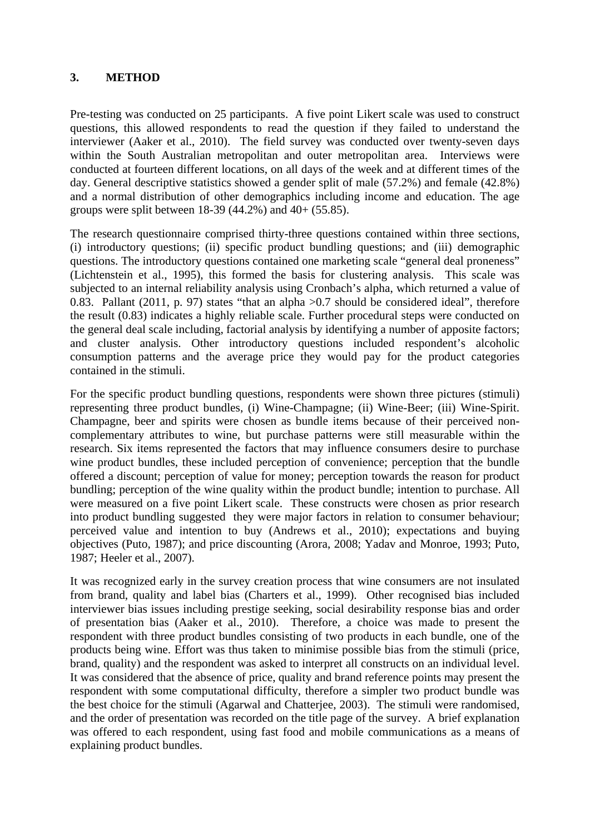## **3. METHOD**

Pre-testing was conducted on 25 participants. A five point Likert scale was used to construct questions, this allowed respondents to read the question if they failed to understand the interviewer [\(Aaker et al., 2010\)](#page-7-0). The field survey was conducted over twenty-seven days within the South Australian metropolitan and outer metropolitan area. Interviews were conducted at fourteen different locations, on all days of the week and at different times of the day. General descriptive statistics showed a gender split of male (57.2%) and female (42.8%) and a normal distribution of other demographics including income and education. The age groups were split between 18-39 (44.2%) and 40+ (55.85).

The research questionnaire comprised thirty-three questions contained within three sections, (i) introductory questions; (ii) specific product bundling questions; and (iii) demographic questions. The introductory questions contained one marketing scale "general deal proneness" ([Lichtenstein et al., 1995](#page-8-0)), this formed the basis for clustering analysis. This scale was subjected to an internal reliability analysis using Cronbach's alpha, which returned a value of 0.83. Pallant [\(2011, p. 97\)](#page-8-0) states "that an alpha >0.7 should be considered ideal", therefore the result (0.83) indicates a highly reliable scale. Further procedural steps were conducted on the general deal scale including, factorial analysis by identifying a number of apposite factors; and cluster analysis. Other introductory questions included respondent's alcoholic consumption patterns and the average price they would pay for the product categories contained in the stimuli.

For the specific product bundling questions, respondents were shown three pictures (stimuli) representing three product bundles, (i) Wine-Champagne; (ii) Wine-Beer; (iii) Wine-Spirit. Champagne, beer and spirits were chosen as bundle items because of their perceived noncomplementary attributes to wine, but purchase patterns were still measurable within the research. Six items represented the factors that may influence consumers desire to purchase wine product bundles, these included perception of convenience; perception that the bundle offered a discount; perception of value for money; perception towards the reason for product bundling; perception of the wine quality within the product bundle; intention to purchase. All were measured on a five point Likert scale. These constructs were chosen as prior research into product bundling suggested they were major factors in relation to consumer behaviour; perceived value and intention to buy [\(Andrews et al., 2010](#page-7-0)); expectations and buying objectives [\(Puto, 1987\)](#page-8-0); and price discounting ([Arora, 2008](#page-7-0); [Yadav and Monroe, 1993;](#page-8-0) [Puto,](#page-8-0)  [1987;](#page-8-0) [Heeler et al., 2007\)](#page-7-0).

It was recognized early in the survey creation process that wine consumers are not insulated from brand, quality and label bias ([Charters et al., 1999](#page-7-0)). Other recognised bias included interviewer bias issues including prestige seeking, social desirability response bias and order of presentation bias [\(Aaker et al., 2010\)](#page-7-0). Therefore, a choice was made to present the respondent with three product bundles consisting of two products in each bundle, one of the products being wine. Effort was thus taken to minimise possible bias from the stimuli (price, brand, quality) and the respondent was asked to interpret all constructs on an individual level. It was considered that the absence of price, quality and brand reference points may present the respondent with some computational difficulty, therefore a simpler two product bundle was the best choice for the stimuli ([Agarwal and Chatterjee, 2003\)](#page-7-0). The stimuli were randomised, and the order of presentation was recorded on the title page of the survey. A brief explanation was offered to each respondent, using fast food and mobile communications as a means of explaining product bundles.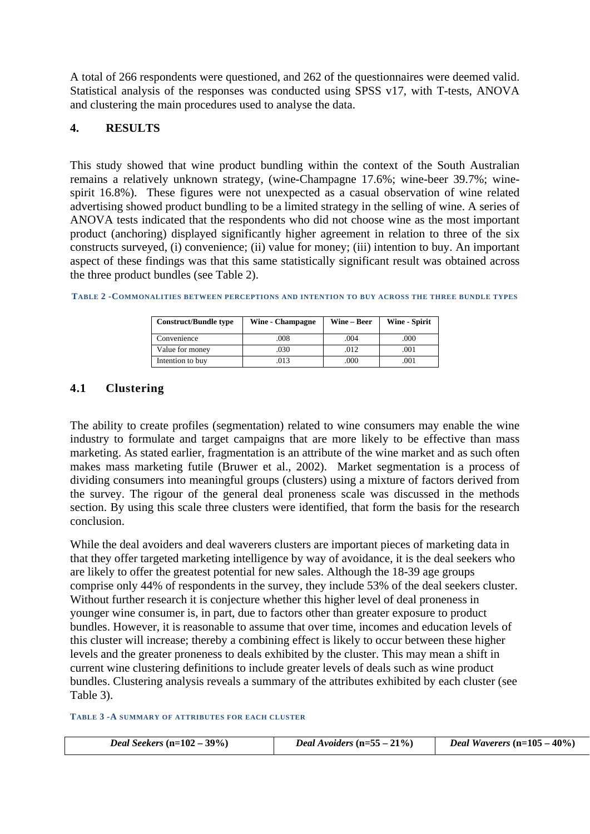A total of 266 respondents were questioned, and 262 of the questionnaires were deemed valid. Statistical analysis of the responses was conducted using SPSS v17, with T-tests, ANOVA and clustering the main procedures used to analyse the data.

# **4. RESULTS**

This study showed that wine product bundling within the context of the South Australian remains a relatively unknown strategy, (wine-Champagne 17.6%; wine-beer 39.7%; winespirit 16.8%). These figures were not unexpected as a casual observation of wine related advertising showed product bundling to be a limited strategy in the selling of wine. A series of ANOVA tests indicated that the respondents who did not choose wine as the most important product (anchoring) displayed significantly higher agreement in relation to three of the six constructs surveyed, (i) convenience; (ii) value for money; (iii) intention to buy. An important aspect of these findings was that this same statistically significant result was obtained across the three product bundles (see [Table 2](#page-5-0)).

| <b>Construct/Bundle type</b> | Wine - Champagne | Wine – Beer | Wine - Spirit |
|------------------------------|------------------|-------------|---------------|
| Convenience                  | .008             | .004        | .000          |
| Value for money              | 030              | .012        | .001          |
| Intention to buy             | 013              | .000        | 001           |

<span id="page-5-0"></span>

| TABLE 2 - COMMONALITIES BETWEEN PERCEPTIONS AND INTENTION TO BUY ACROSS THE THREE BUNDLE TYPES |
|------------------------------------------------------------------------------------------------|
|------------------------------------------------------------------------------------------------|

# **4.1 Clustering**

The ability to create profiles (segmentation) related to wine consumers may enable the wine industry to formulate and target campaigns that are more likely to be effective than mass marketing. As stated earlier, fragmentation is an attribute of the wine market and as such often makes mass marketing futile [\(Bruwer et al., 2002](#page-7-0)). Market segmentation is a process of dividing consumers into meaningful groups (clusters) using a mixture of factors derived from the survey. The rigour of the general deal proneness scale was discussed in the methods section. By using this scale three clusters were identified, that form the basis for the research conclusion.

While the deal avoiders and deal waverers clusters are important pieces of marketing data in that they offer targeted marketing intelligence by way of avoidance, it is the deal seekers who are likely to offer the greatest potential for new sales. Although the 18-39 age groups comprise only 44% of respondents in the survey, they include 53% of the deal seekers cluster. Without further research it is conjecture whether this higher level of deal proneness in younger wine consumer is, in part, due to factors other than greater exposure to product bundles. However, it is reasonable to assume that over time, incomes and education levels of this cluster will increase; thereby a combining effect is likely to occur between these higher levels and the greater proneness to deals exhibited by the cluster. This may mean a shift in current wine clustering definitions to include greater levels of deals such as wine product bundles. Clustering analysis reveals a summary of the attributes exhibited by each cluster (see [Table 3](#page-5-1)).

### **TABLE 3 -A SUMMARY OF ATTRIBUTES FOR EACH CLUSTER**

<span id="page-5-1"></span>

|  | <i>Deal Seekers</i> $(n=102 - 39\%)$ | Deal Avoiders $(n=55-21\%)$ | <i>Deal Waverers</i> $(n=105 - 40\%)$ |
|--|--------------------------------------|-----------------------------|---------------------------------------|
|--|--------------------------------------|-----------------------------|---------------------------------------|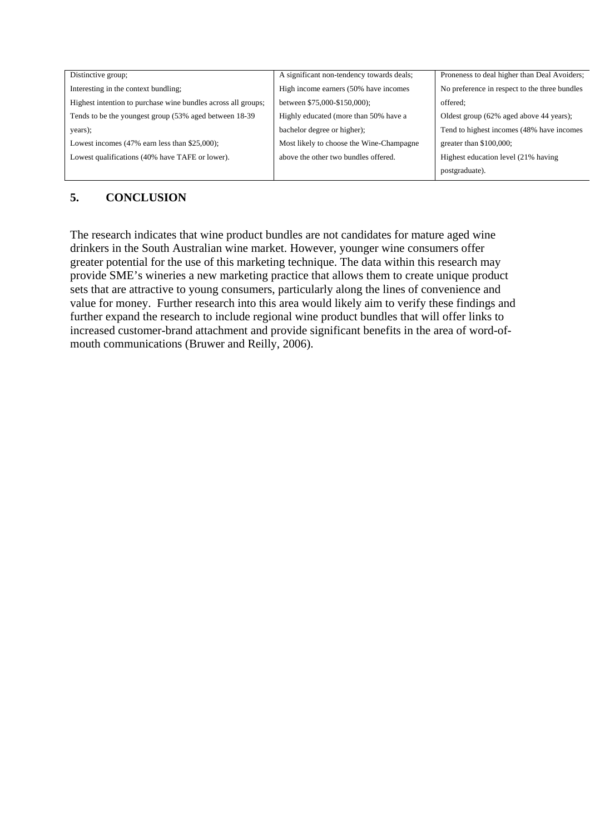| Distinctive group;                                            | A significant non-tendency towards deals; | Proneness to deal higher than Deal Avoiders;  |
|---------------------------------------------------------------|-------------------------------------------|-----------------------------------------------|
| Interesting in the context bundling;                          | High income earners (50% have incomes     | No preference in respect to the three bundles |
| Highest intention to purchase wine bundles across all groups; | between \$75,000-\$150,000);              | offered:                                      |
| Tends to be the youngest group (53% aged between 18-39)       | Highly educated (more than 50% have a     | Oldest group (62% aged above 44 years);       |
| years);                                                       | bachelor degree or higher);               | Tend to highest incomes (48% have incomes     |
| Lowest incomes $(47\%$ earn less than \$25,000);              | Most likely to choose the Wine-Champagne  | greater than \$100,000;                       |
| Lowest qualifications (40% have TAFE or lower).               | above the other two bundles offered.      | Highest education level (21% having           |
|                                                               |                                           | postgraduate).                                |

# **5. CONCLUSION**

The research indicates that wine product bundles are not candidates for mature aged wine drinkers in the South Australian wine market. However, younger wine consumers offer greater potential for the use of this marketing technique. The data within this research may provide SME's wineries a new marketing practice that allows them to create unique product sets that are attractive to young consumers, particularly along the lines of convenience and value for money. Further research into this area would likely aim to verify these findings and further expand the research to include regional wine product bundles that will offer links to increased customer-brand attachment and provide significant benefits in the area of word-ofmouth communications ([Bruwer and Reilly, 2006](#page-7-0)).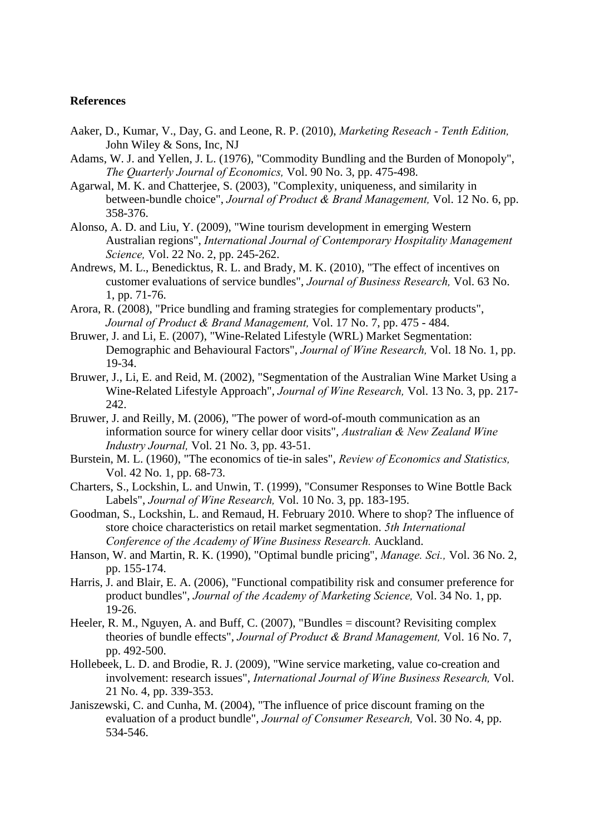### <span id="page-7-0"></span>**References**

- Aaker, D., Kumar, V., Day, G. and Leone, R. P. (2010), *Marketing Reseach Tenth Edition,*  John Wiley & Sons, Inc, NJ
- Adams, W. J. and Yellen, J. L. (1976), "Commodity Bundling and the Burden of Monopoly", *The Quarterly Journal of Economics,* Vol. 90 No. 3, pp. 475-498.
- Agarwal, M. K. and Chatterjee, S. (2003), "Complexity, uniqueness, and similarity in between-bundle choice", *Journal of Product & Brand Management,* Vol. 12 No. 6, pp. 358-376.
- Alonso, A. D. and Liu, Y. (2009), "Wine tourism development in emerging Western Australian regions", *International Journal of Contemporary Hospitality Management Science,* Vol. 22 No. 2, pp. 245-262.
- Andrews, M. L., Benedicktus, R. L. and Brady, M. K. (2010), "The effect of incentives on customer evaluations of service bundles", *Journal of Business Research,* Vol. 63 No. 1, pp. 71-76.
- Arora, R. (2008), "Price bundling and framing strategies for complementary products", *Journal of Product & Brand Management,* Vol. 17 No. 7, pp. 475 - 484.
- Bruwer, J. and Li, E. (2007), "Wine-Related Lifestyle (WRL) Market Segmentation: Demographic and Behavioural Factors", *Journal of Wine Research,* Vol. 18 No. 1, pp. 19-34.
- Bruwer, J., Li, E. and Reid, M. (2002), "Segmentation of the Australian Wine Market Using a Wine-Related Lifestyle Approach", *Journal of Wine Research,* Vol. 13 No. 3, pp. 217- 242.
- Bruwer, J. and Reilly, M. (2006), "The power of word-of-mouth communication as an information source for winery cellar door visits", *Australian & New Zealand Wine Industry Journal,* Vol. 21 No. 3, pp. 43-51.
- Burstein, M. L. (1960), "The economics of tie-in sales", *Review of Economics and Statistics,* Vol. 42 No. 1, pp. 68-73.
- Charters, S., Lockshin, L. and Unwin, T. (1999), "Consumer Responses to Wine Bottle Back Labels", *Journal of Wine Research,* Vol. 10 No. 3, pp. 183-195.
- Goodman, S., Lockshin, L. and Remaud, H. February 2010. Where to shop? The influence of store choice characteristics on retail market segmentation. *5th International Conference of the Academy of Wine Business Research.* Auckland.
- Hanson, W. and Martin, R. K. (1990), "Optimal bundle pricing", *Manage. Sci.,* Vol. 36 No. 2, pp. 155-174.
- Harris, J. and Blair, E. A. (2006), "Functional compatibility risk and consumer preference for product bundles", *Journal of the Academy of Marketing Science,* Vol. 34 No. 1, pp. 19-26.
- Heeler, R. M., Nguyen, A. and Buff, C. (2007), "Bundles = discount? Revisiting complex theories of bundle effects", *Journal of Product & Brand Management,* Vol. 16 No. 7, pp. 492-500.
- Hollebeek, L. D. and Brodie, R. J. (2009), "Wine service marketing, value co-creation and involvement: research issues", *International Journal of Wine Business Research,* Vol. 21 No. 4, pp. 339-353.
- Janiszewski, C. and Cunha, M. (2004), "The influence of price discount framing on the evaluation of a product bundle", *Journal of Consumer Research,* Vol. 30 No. 4, pp. 534-546.